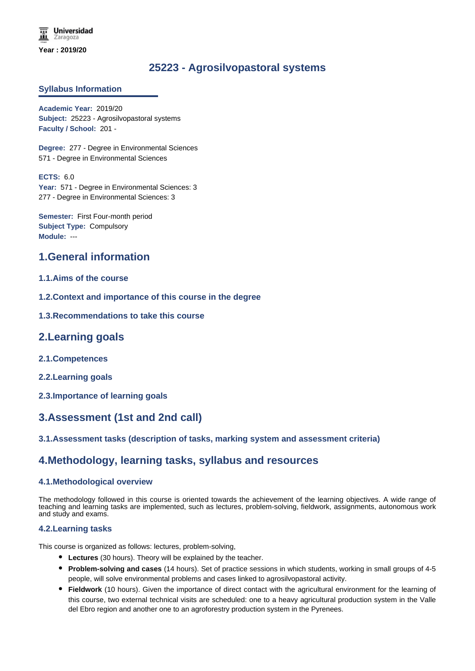# **25223 - Agrosilvopastoral systems**

## **Syllabus Information**

**Academic Year:** 2019/20 **Subject:** 25223 - Agrosilvopastoral systems **Faculty / School:** 201 -

**Degree:** 277 - Degree in Environmental Sciences 571 - Degree in Environmental Sciences

**ECTS:** 6.0 Year: 571 - Degree in Environmental Sciences: 3 277 - Degree in Environmental Sciences: 3

**Semester:** First Four-month period **Subject Type:** Compulsory **Module:** ---

## **1.General information**

## **1.1.Aims of the course**

- **1.2.Context and importance of this course in the degree**
- **1.3.Recommendations to take this course**

## **2.Learning goals**

- **2.1.Competences**
- **2.2.Learning goals**
- **2.3.Importance of learning goals**

## **3.Assessment (1st and 2nd call)**

## **3.1.Assessment tasks (description of tasks, marking system and assessment criteria)**

## **4.Methodology, learning tasks, syllabus and resources**

#### **4.1.Methodological overview**

The methodology followed in this course is oriented towards the achievement of the learning objectives. A wide range of teaching and learning tasks are implemented, such as lectures, problem-solving, fieldwork, assignments, autonomous work and study and exams.

#### **4.2.Learning tasks**

This course is organized as follows: lectures, problem-solving,

- **Lectures** (30 hours). Theory will be explained by the teacher.
- **Problem-solving and cases** (14 hours). Set of practice sessions in which students, working in small groups of 4-5 people, will solve environmental problems and cases linked to agrosilvopastoral activity.
- **Fieldwork** (10 hours). Given the importance of direct contact with the agricultural environment for the learning of this course, two external technical visits are scheduled: one to a heavy agricultural production system in the Valle del Ebro region and another one to an agroforestry production system in the Pyrenees.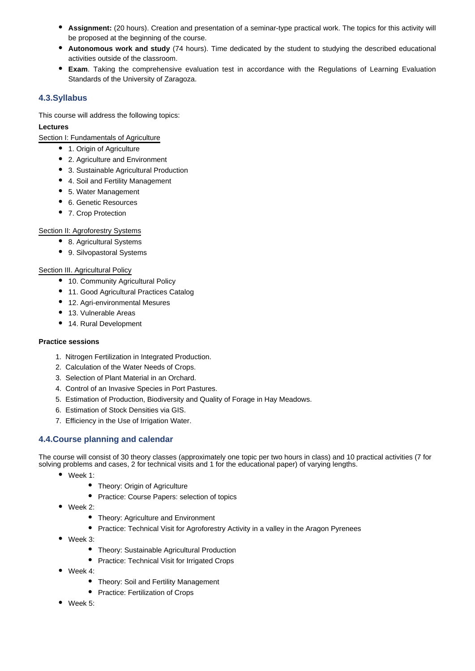- **Assignment:** (20 hours). Creation and presentation of a seminar-type practical work. The topics for this activity will be proposed at the beginning of the course.
- **Autonomous work and study** (74 hours). Time dedicated by the student to studying the described educational activities outside of the classroom.
- **Exam**. Taking the comprehensive evaluation test in accordance with the Regulations of Learning Evaluation Standards of the University of Zaragoza.

## **4.3.Syllabus**

This course will address the following topics:

### **Lectures**

Section I: Fundamentals of Agriculture

- 1. Origin of Agriculture
- 2. Agriculture and Environment
- 3. Sustainable Agricultural Production
- 4. Soil and Fertility Management
- 5. Water Management
- 6. Genetic Resources
- 7. Crop Protection

### Section II: Agroforestry Systems

- 8. Agricultural Systems
- 9. Silvopastoral Systems

### Section III. Agricultural Policy

- 10. Community Agricultural Policy
- 11. Good Agricultural Practices Catalog
- 12. Agri-environmental Mesures
- 13. Vulnerable Areas
- 14. Rural Development

#### **Practice sessions**

- 1. Nitrogen Fertilization in Integrated Production.
- 2. Calculation of the Water Needs of Crops.
- 3. Selection of Plant Material in an Orchard.
- 4. Control of an Invasive Species in Port Pastures.
- 5. Estimation of Production, Biodiversity and Quality of Forage in Hay Meadows.
- 6. Estimation of Stock Densities via GIS.
- 7. Efficiency in the Use of Irrigation Water.

## **4.4.Course planning and calendar**

The course will consist of 30 theory classes (approximately one topic per two hours in class) and 10 practical activities (7 for solving problems and cases, 2 for technical visits and 1 for the educational paper) of varying lengths.

- Week 1:
	- Theory: Origin of Agriculture
	- Practice: Course Papers: selection of topics
- Week 2:
	- Theory: Agriculture and Environment
	- Practice: Technical Visit for Agroforestry Activity in a valley in the Aragon Pyrenees
- Week 3:
	- Theory: Sustainable Agricultural Production
	- Practice: Technical Visit for Irrigated Crops
- Week 4:
	- Theory: Soil and Fertility Management
	- Practice: Fertilization of Crops
- Week 5: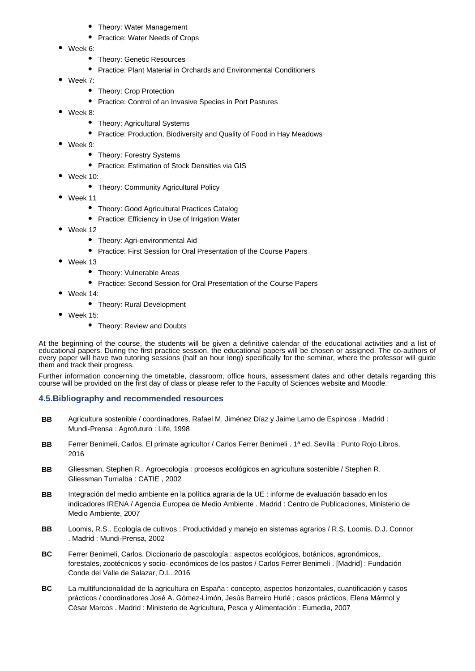- Theory: Water Management
- Practice: Water Needs of Crops
- Week 6:
	- Theory: Genetic Resources
	- Practice: Plant Material in Orchards and Environmental Conditioners
- Week 7:
	- Theory: Crop Protection
	- Practice: Control of an Invasive Species in Port Pastures
- Week 8:
	- Theory: Agricultural Systems
	- Practice: Production, Biodiversity and Quality of Food in Hay Meadows
- $\bullet$ Week 9:
	- Theory: Forestry Systems
	- **•** Practice: Estimation of Stock Densities via GIS
- Week 10:
	- Theory: Community Agricultural Policy
- Week 11
	- Theory: Good Agricultural Practices Catalog
	- Practice: Efficiency in Use of Irrigation Water
- Week 12
	- Theory: Agri-environmental Aid
	- Practice: First Session for Oral Presentation of the Course Papers
- Week 13
	- Theory: Vulnerable Areas
	- Practice: Second Session for Oral Presentation of the Course Papers
- Week 14:
	- Theory: Rural Development
- Week 15:
	- Theory: Review and Doubts

At the beginning of the course, the students will be given a definitive calendar of the educational activities and a list of educational papers. During the first practice session, the educational papers will be chosen or assigned. The co-authors of every paper will have two tutoring sessions (half an hour long) specifically for the seminar, where the professor will guide them and track their progress.

Further information concerning the timetable, classroom, office hours, assessment dates and other details regarding this course will be provided on the first day of class or please refer to the Faculty of Sciences website and Moodle.

## **4.5.Bibliography and recommended resources**

- **BB** Agricultura sostenible / coordinadores, Rafael M. Jiménez Díaz y Jaime Lamo de Espinosa . Madrid : Mundi-Prensa : Agrofuturo : Life, 1998
- **BB** Ferrer Benimeli, Carlos. El primate agricultor / Carlos Ferrer Benimeli . 1ª ed. Sevilla : Punto Rojo Libros, 2016
- **BB** Gliessman, Stephen R.. Agroecología : procesos ecológicos en agricultura sostenible / Stephen R. Gliessman Turrialba : CATIE , 2002
- **BB** Integración del medio ambiente en la política agraria de la UE : informe de evaluación basado en los indicadores IRENA / Agencia Europea de Medio Ambiente . Madrid : Centro de Publicaciones, Ministerio de Medio Ambiente, 2007
- **BB** Loomis, R.S.. Ecología de cultivos : Productividad y manejo en sistemas agrarios / R.S. Loomis, D.J. Connor . Madrid : Mundi-Prensa, 2002
- **BC** Ferrer Benimeli, Carlos. Diccionario de pascología : aspectos ecológicos, botánicos, agronómicos, forestales, zootécnicos y socio- económicos de los pastos / Carlos Ferrer Benimeli . [Madrid] : Fundación Conde del Valle de Salazar, D.L. 2016
- **BC** La multifuncionalidad de la agricultura en España : concepto, aspectos horizontales, cuantificación y casos prácticos / coordinadores José A. Gómez-Limón, Jesús Barreiro Hurlé ; casos prácticos, Elena Mármol y César Marcos . Madrid : Ministerio de Agricultura, Pesca y Alimentación : Eumedia, 2007